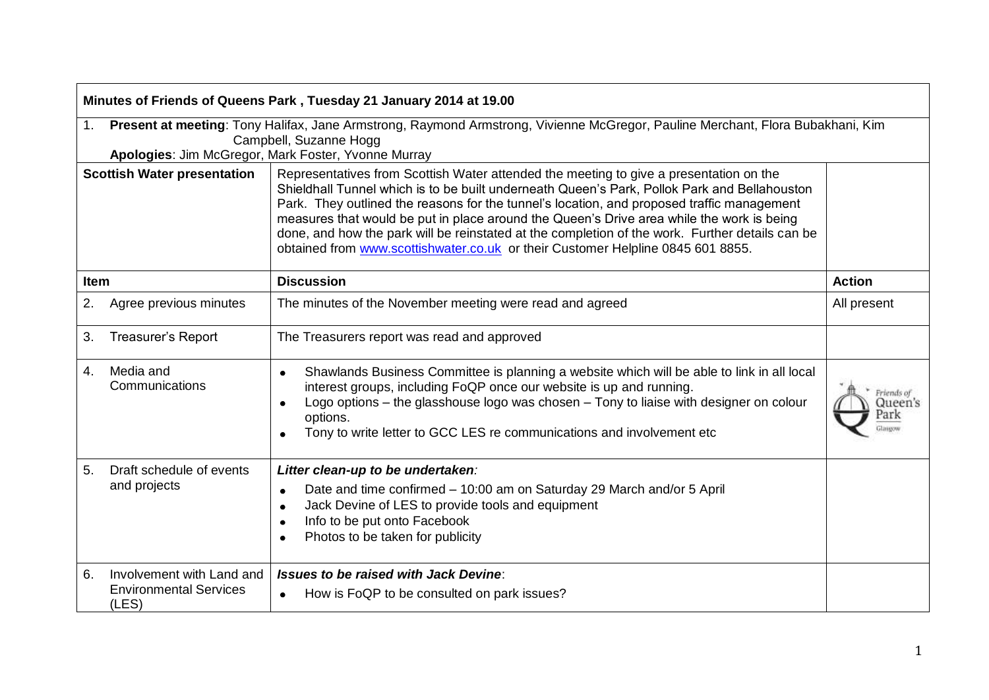| Minutes of Friends of Queens Park, Tuesday 21 January 2014 at 19.00 |                                                                                                                                                                                                                 |                                                                                                                                                                                                                                                                                                                                                                                                                                                                                                                                                                         |                               |  |  |  |
|---------------------------------------------------------------------|-----------------------------------------------------------------------------------------------------------------------------------------------------------------------------------------------------------------|-------------------------------------------------------------------------------------------------------------------------------------------------------------------------------------------------------------------------------------------------------------------------------------------------------------------------------------------------------------------------------------------------------------------------------------------------------------------------------------------------------------------------------------------------------------------------|-------------------------------|--|--|--|
| 1.                                                                  | Present at meeting: Tony Halifax, Jane Armstrong, Raymond Armstrong, Vivienne McGregor, Pauline Merchant, Flora Bubakhani, Kim<br>Campbell, Suzanne Hogg<br>Apologies: Jim McGregor, Mark Foster, Yvonne Murray |                                                                                                                                                                                                                                                                                                                                                                                                                                                                                                                                                                         |                               |  |  |  |
| <b>Scottish Water presentation</b>                                  |                                                                                                                                                                                                                 | Representatives from Scottish Water attended the meeting to give a presentation on the<br>Shieldhall Tunnel which is to be built underneath Queen's Park, Pollok Park and Bellahouston<br>Park. They outlined the reasons for the tunnel's location, and proposed traffic management<br>measures that would be put in place around the Queen's Drive area while the work is being<br>done, and how the park will be reinstated at the completion of the work. Further details can be<br>obtained from www.scottishwater.co.uk or their Customer Helpline 0845 601 8855. |                               |  |  |  |
| <b>Item</b>                                                         |                                                                                                                                                                                                                 | <b>Discussion</b>                                                                                                                                                                                                                                                                                                                                                                                                                                                                                                                                                       | <b>Action</b>                 |  |  |  |
| 2.                                                                  | Agree previous minutes                                                                                                                                                                                          | The minutes of the November meeting were read and agreed                                                                                                                                                                                                                                                                                                                                                                                                                                                                                                                | All present                   |  |  |  |
| 3.                                                                  | Treasurer's Report                                                                                                                                                                                              | The Treasurers report was read and approved                                                                                                                                                                                                                                                                                                                                                                                                                                                                                                                             |                               |  |  |  |
| 4.                                                                  | Media and<br>Communications                                                                                                                                                                                     | Shawlands Business Committee is planning a website which will be able to link in all local<br>$\bullet$<br>interest groups, including FoQP once our website is up and running.<br>Logo options – the glasshouse logo was chosen – Tony to liaise with designer on colour<br>options.<br>Tony to write letter to GCC LES re communications and involvement etc                                                                                                                                                                                                           | Friends of<br>Queen's<br>Park |  |  |  |
| 5.                                                                  | Draft schedule of events<br>and projects                                                                                                                                                                        | Litter clean-up to be undertaken:<br>Date and time confirmed - 10:00 am on Saturday 29 March and/or 5 April<br>$\bullet$<br>Jack Devine of LES to provide tools and equipment<br>$\bullet$<br>Info to be put onto Facebook<br>$\bullet$<br>Photos to be taken for publicity                                                                                                                                                                                                                                                                                             |                               |  |  |  |
| 6.                                                                  | Involvement with Land and<br><b>Environmental Services</b><br>(LES)                                                                                                                                             | <b>Issues to be raised with Jack Devine:</b><br>How is FoQP to be consulted on park issues?                                                                                                                                                                                                                                                                                                                                                                                                                                                                             |                               |  |  |  |